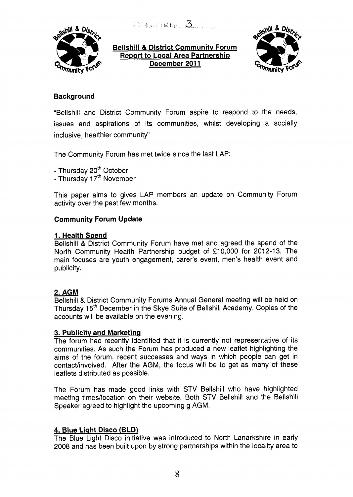., **<sup>r</sup>**I '. j i /,it) **3.L** "-



**Bellshill** & **District Communitv Forum Report to Local Area Partnership**  December 2011



# **Background**

"Bellshill and District Community Forum aspire to respond to the needs, issues and aspirations of its communities, whilst developing a socially inclusive, healthier community"

The Community Forum has met twice since the last LAP:

- Thursday 20<sup>th</sup> October
- Thursday 17<sup>th</sup> November

This paper aims to gives LAP members an update on Community Forum activity over the past few months.

# **Community Forum Update**

## **1. Health Spend**

Bellshill & District Community Forum have met and agreed the spend of the North Community Health Partnership budget of **f10,000** for 2012-13. The main focuses are youth engagement, carer's event, men's health event and publicity.

# **2. AGM**

Bellshill & District Community Forums Annual General meeting will be held on Thursday **15th** December in the Skye Suite of Bellshill Academy. Copies of the accounts will be available on the evening.

## **3. Publicitv and Marketinq**

The forum had recently identified that it is currently not representative of its communities. As such the Forum has produced a new leaflet highlighting the aims of the forum, recent successes and ways in which people can get in contact/involved. After the AGM, the focus will be to get as many of these leaflets distributed as possible.

The Forum has made good links with STV Bellshill who have highlighted meeting times/location on their website. Both STV Bellshill and the Bellshill Speaker agreed to highlight the upcoming g AGM.

# **4. Blue Liaht Disco (BLD)**

The Blue Light Disco initiative was introduced to North Lanarkshire in early 2008 and has been built upon by strong partnerships within the locality area to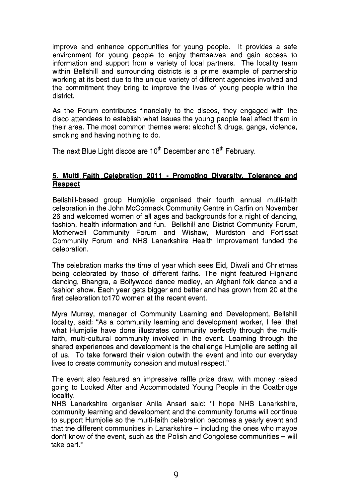improve and enhance opportunities for young people. It provides a safe environment for young people to enjoy themselves and gain access to information and support from a variety of local partners. The locality team within Bellshill and surrounding districts is a prime example of partnership working at its best due to the unique variety of different agencies involved and the commitment they bring to improve the lives of young people within the district.

As the Forum contributes financially to the discos, they engaged with the disco attendees to establish what issues the young people feel affect them in their area. The most common themes were: alcohol & drugs, gangs, violence, smoking and having nothing to do.

The next Blue Light discos are 10<sup>th</sup> December and 18<sup>th</sup> February.

## **5. Multi Faith Celebration 2011** - **Promotina Diversitv, Tolerance and Respect**

Bellshill-based group Humjolie organised their fourth annual multi-faith celebration in the John McCormack Community Centre in Carfin on November 26 and welcomed women of all ages and backgrounds for a night of dancing, fashion, health information and fun. Bellshill and District Community Forum, Motherwell Community Forum and Wishaw, Murdston and Fortissat Community Forum and NHS Lanarkshire Health Improvement funded the celebration.

The celebration marks the time of year which sees Eid, Diwali and Christmas being celebrated by those of different faiths. The night featured Highland dancing, Bhangra, a Bollywood dance medley, an Afghani folk dance and a fashion show. Each year gets bigger and better and has grown from 20 at the first celebration to 170 women at the recent event.

Myra Murray, manager of Community Learning and Development, Bellshill locality, said: "As a community learning and development worker, I feel that what Humjolie have done illustrates community perfectly through the multifaith, multi-cultural community involved in the event. Learning through the shared experiences and development is the challenge Humjolie are setting all of us. To take forward their vision outwith the event and into our everyday lives to create community cohesion and mutual respect."

The event also featured an impressive raffle prize draw, with money raised going to Looked After and Accommodated Young People in the Coatbridge locality.

NHS Lanarkshire organiser Anila Ansari said: "I hope NHS Lanarkshire, community learning and development and the community forums will continue to support Humjolie so the multi-faith celebration becomes a yearly event and that the different communities in Lanarkshire  $-$  including the ones who maybe don't know of the event, such as the Polish and Congolese communities - will take part."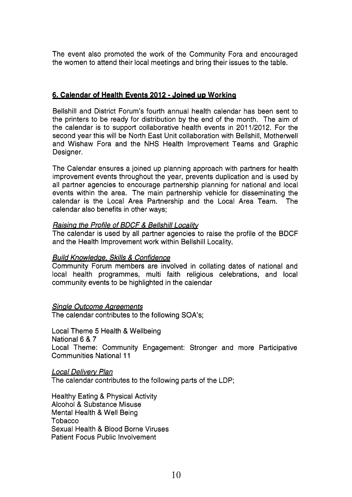The event also promoted the work of the Community Fora and encouraged the women to attend their local meetings and bring their issues to the table.

# **6. Calendar of Health Events 2012** - **Joined UD Working**

Bellshill and District Forum's fourth annual health calendar has been sent to the printers to be ready for distribution by the end of the month. The aim of the calendar is to support collaborative health events in 201 1/2012. For the second year this will be North East Unit collaboration with Bellshill, Motherwell and Wishaw Fora and the NHS Health Improvement Teams and Graphic Designer.

The Calendar ensures a joined up planning approach with partners for health improvement events throughout the year, prevents duplication and is used by all partner agencies to encourage partnership planning for national and local events within the area. The main partnership vehicle for disseminating the calendar is the Local Area Partnership and the Local Area Team. The calendar also benefits in other ways;

# **Raising the Profile of BDCF & Bellshill Locality**

The calendar is used by all partner agencies to raise the profile of the BDCF and the Health Improvement work within Bellshill Locality.

## *Build Knowledae, Skills* & *Confidence*

Community Forum members are involved in collating dates of national and local health programmes, multi faith religious celebrations, and local community events to be highlighted in the calendar

## **Single Outcome Agreements**

The calendar contributes to the following SOA's;

Local Theme 5 Health & Wellbeing National 6 & 7 Local Theme: Community Engagement: Stronger and more Participative Communities National 11

*Local Deliverv Plan*  The calendar contributes to the following parts of the LDP;

Healthy Eating & Physical Activity Alcohol & Substance Misuse Mental Health & Well Being Tobacco Sexual Health & Blood Borne Viruses Patient Focus Public Involvement